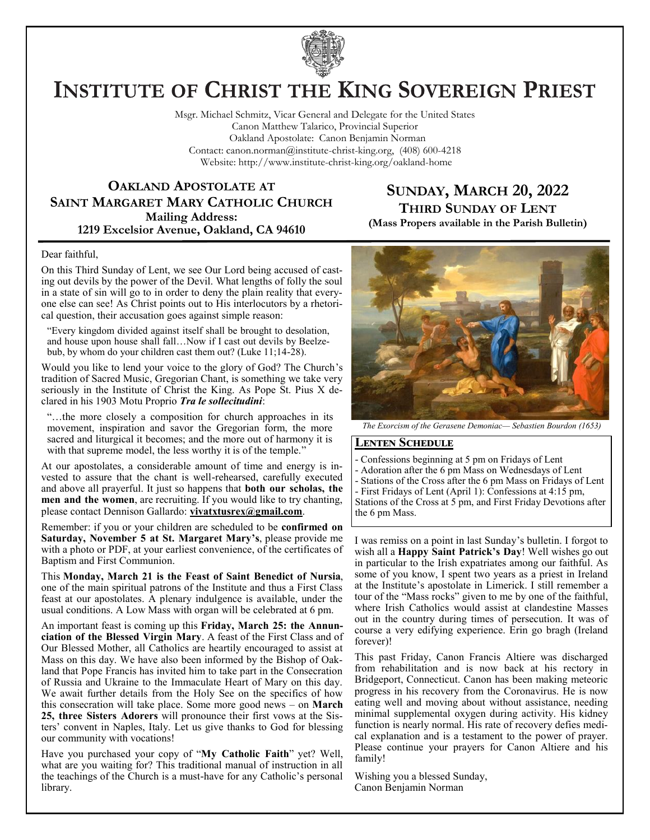

# **INSTITUTE OF CHRIST THE KING SOVEREIGN PRIEST**

Msgr. Michael Schmitz, Vicar General and Delegate for the United States Canon Matthew Talarico, Provincial Superior Oakland Apostolate: Canon Benjamin Norman Contact: canon.norman@institute-christ-king.org, (408) 600-4218 Website: http://www.institute-christ-king.org/oakland-home

## **OAKLAND APOSTOLATE AT SAINT MARGARET MARY CATHOLIC CHURCH Mailing Address: 1219 Excelsior Avenue, Oakland, CA 94610**

## **SUNDAY, MARCH 20, 2022 THIRD SUNDAY OF LENT (Mass Propers available in the Parish Bulletin)**

Dear faithful,

On this Third Sunday of Lent, we see Our Lord being accused of casting out devils by the power of the Devil. What lengths of folly the soul in a state of sin will go to in order to deny the plain reality that everyone else can see! As Christ points out to His interlocutors by a rhetorical question, their accusation goes against simple reason:

"Every kingdom divided against itself shall be brought to desolation, and house upon house shall fall…Now if I cast out devils by Beelzebub, by whom do your children cast them out? (Luke 11;14-28).

Would you like to lend your voice to the glory of God? The Church's tradition of Sacred Music, Gregorian Chant, is something we take very seriously in the Institute of Christ the King. As Pope St. Pius X declared in his 1903 Motu Proprio *Tra le sollecitudini*:

"…the more closely a composition for church approaches in its movement, inspiration and savor the Gregorian form, the more sacred and liturgical it becomes; and the more out of harmony it is with that supreme model, the less worthy it is of the temple."

At our apostolates, a considerable amount of time and energy is invested to assure that the chant is well-rehearsed, carefully executed and above all prayerful. It just so happens that **both our scholas, the men and the women**, are recruiting. If you would like to try chanting, please contact Dennison Gallardo: **[vivatxtusrex@gmail.com](mailto:vivatxtusrex@gmail.com)**.

Remember: if you or your children are scheduled to be **confirmed on Saturday, November 5 at St. Margaret Mary's**, please provide me with a photo or PDF, at your earliest convenience, of the certificates of Baptism and First Communion.

This **Monday, March 21 is the Feast of Saint Benedict of Nursia**, one of the main spiritual patrons of the Institute and thus a First Class feast at our apostolates. A plenary indulgence is available, under the usual conditions. A Low Mass with organ will be celebrated at 6 pm.

An important feast is coming up this **Friday, March 25: the Annunciation of the Blessed Virgin Mary**. A feast of the First Class and of Our Blessed Mother, all Catholics are heartily encouraged to assist at Mass on this day. We have also been informed by the Bishop of Oakland that Pope Francis has invited him to take part in the Consecration of Russia and Ukraine to the Immaculate Heart of Mary on this day. We await further details from the Holy See on the specifics of how this consecration will take place. Some more good news – on **March 25, three Sisters Adorers** will pronounce their first vows at the Sisters' convent in Naples, Italy. Let us give thanks to God for blessing our community with vocations!

Have you purchased your copy of "**My Catholic Faith**" yet? Well, what are you waiting for? This traditional manual of instruction in all the teachings of the Church is a must-have for any Catholic's personal library.



*The Exorcism of the Gerasene Demoniac— Sebastien Bourdon (1653)* 

### **Lenten Schedule**

- Confessions beginning at 5 pm on Fridays of Lent

- Adoration after the 6 pm Mass on Wednesdays of Lent

- Stations of the Cross after the 6 pm Mass on Fridays of Lent

- First Fridays of Lent (April 1): Confessions at 4:15 pm,

Stations of the Cross at 5 pm, and First Friday Devotions after the 6 pm Mass.

I was remiss on a point in last Sunday's bulletin. I forgot to wish all a **Happy Saint Patrick's Day**! Well wishes go out in particular to the Irish expatriates among our faithful. As some of you know, I spent two years as a priest in Ireland at the Institute's apostolate in Limerick. I still remember a tour of the "Mass rocks" given to me by one of the faithful, where Irish Catholics would assist at clandestine Masses out in the country during times of persecution. It was of course a very edifying experience. Erin go bragh (Ireland forever)!

This past Friday, Canon Francis Altiere was discharged from rehabilitation and is now back at his rectory in Bridgeport, Connecticut. Canon has been making meteoric progress in his recovery from the Coronavirus. He is now eating well and moving about without assistance, needing minimal supplemental oxygen during activity. His kidney function is nearly normal. His rate of recovery defies medical explanation and is a testament to the power of prayer. Please continue your prayers for Canon Altiere and his family!

Wishing you a blessed Sunday, Canon Benjamin Norman